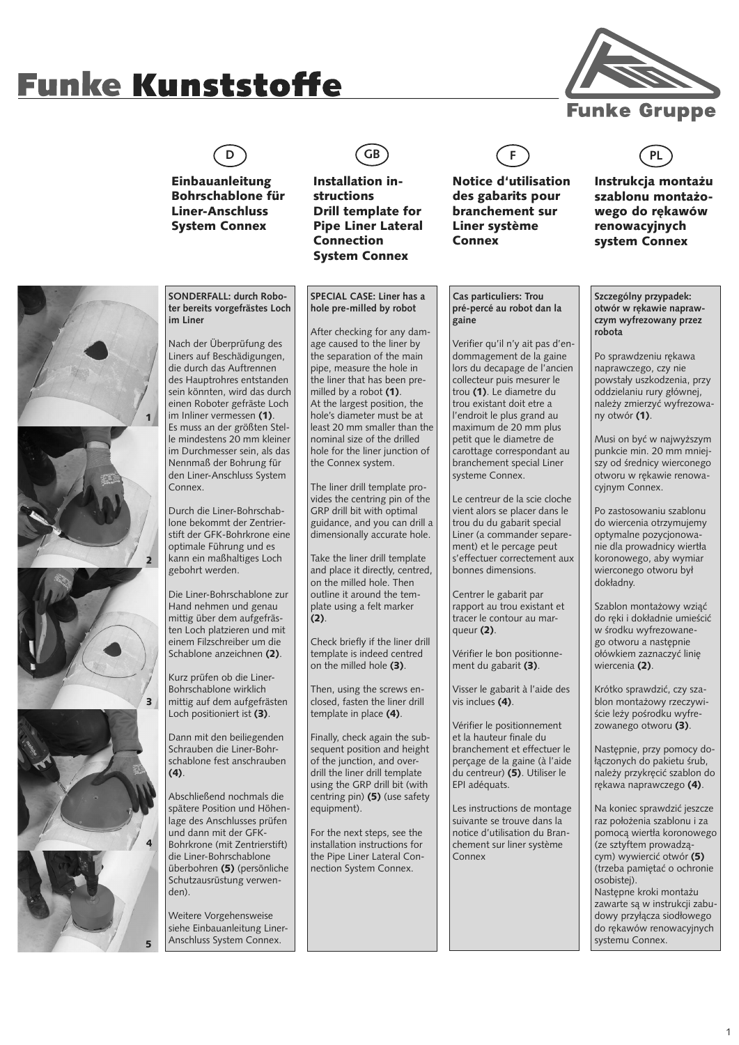## **Funke Kunststoffe**



Einbauanleitung Bohrschablone für Liner-Anschluss System Connex

**D GB F PL**

Installation instructions Drill template for Pipe Liner Lateral Connection System Connex



Notice d'utilisation des gabarits pour branchement sur Liner système Connex

## Instrukcja montażu

szablonu montażowego do rękawów renowacyjnych system Connex



**SONDERFALL: durch Roboter bereits vorgefrästes Loch im Liner**

Nach der Überprüfung des Liners auf Beschädigungen, die durch das Auftrennen des Hauptrohres entstanden sein könnten, wird das durch einen Roboter gefräste Loch im Inliner vermessen (1). Es muss an der größten Stelle mindestens 20 mm kleiner im Durchmesser sein, als das Nennmaß der Bohrung für den Liner-Anschluss System Connex.

Durch die Liner-Bohrschablone bekommt der Zentrierstift der GFK-Bohrkrone eine optimale Führung und es kann ein maßhaltiges Loch gebohrt werden.

Die Liner-Bohrschablone zur Hand nehmen und genau mittig über dem aufgefrästen Loch platzieren und mit einem Filzschreiber um die Schablone anzeichnen (2).

Kurz prüfen ob die Liner-Bohrschablone wirklich mittig auf dem aufgefrästen Loch positioniert ist (3).

Dann mit den beiliegenden Schrauben die Liner-Bohrschablone fest anschrauben  $(4)$ .

Abschließend nochmals die spätere Position und Höhenlage des Anschlusses prüfen und dann mit der GFK-Bohrkrone (mit Zentrierstift) die Liner-Bohrschablone überbohren (5) (persönliche Schutzausrüstung verwenden).

Weitere Vorgehensweise siehe Einbauanleitung Liner-Anschluss System Connex.

**SPECIAL CASE: Liner has a hole pre-milled by robot**

After checking for any damage caused to the liner by the separation of the main pipe, measure the hole in the liner that has been premilled by a robot (1). At the largest position, the hole's diameter must be at least 20 mm smaller than the nominal size of the drilled hole for the liner junction of the Connex system.

The liner drill template provides the centring pin of the GRP drill bit with optimal guidance, and you can drill a dimensionally accurate hole.

Take the liner drill template and place it directly, centred, on the milled hole. Then outline it around the template using a felt marker  $(2)$ .

Check briefly if the liner drill template is indeed centred on the milled hole (3).

Then, using the screws enclosed, fasten the liner drill template in place (4).

Finally, check again the subsequent position and height of the junction, and overdrill the liner drill template using the GRP drill bit (with centring pin) (5) (use safety equipment).

For the next steps, see the installation instructions for the Pipe Liner Lateral Connection System Connex.

**Cas particuliers: Trou pré-percé au robot dan la gaine**

Verifier qu'il n'y ait pas d'endommagement de la gaine lors du decapage de l'ancien collecteur puis mesurer le trou (1). Le diametre du trou existant doit etre a l'endroit le plus grand au maximum de 20 mm plus petit que le diametre de carottage correspondant au branchement special Liner systeme Connex.

Le centreur de la scie cloche vient alors se placer dans le trou du du gabarit special Liner (a commander separement) et le percage peut s'effectuer correctement aux bonnes dimensions.

Centrer le gabarit par rapport au trou existant et tracer le contour au marqueur (2).

Vérifier le bon positionnement du gabarit (3).

Visser le gabarit à l'aide des vis inclues (4).

Vérifier le positionnement et la hauteur finale du branchement et effectuer le perçage de la gaine (à l'aide du centreur) (5). Utiliser le EPI adéquats.

Les instructions de montage suivante se trouve dans la notice d'utilisation du Branchement sur liner système Connex

**Szczególny przypadek: otwór w rękawie naprawczym wyfrezowany przez robota**

Po sprawdzeniu rękawa naprawczego, czy nie powstały uszkodzenia, przy oddzielaniu rury głównej, należy zmierzyć wyfrezowany otwór (1).

Musi on być w najwyższym punkcie min. 20 mm mniejszy od średnicy wierconego otworu w rękawie renowacyjnym Connex.

Po zastosowaniu szablonu do wiercenia otrzymujemy optymalne pozycjonowanie dla prowadnicy wiertła koronowego, aby wymiar wierconego otworu był dokładny.

Szablon montażowy wziąć do ręki i dokładnie umieścić w środku wyfrezowanego otworu a następnie ołówkiem zaznaczyć linię wiercenia (2).

Krótko sprawdzić, czy szablon montażowy rzeczywiście leży pośrodku wyfrezowanego otworu  $(3)$ .

Następnie, przy pomocy dołączonych do pakietu śrub, należy przykręcić szablon do rękawa naprawczego (4).

Na koniec sprawdzić jeszcze raz położenia szablonu i za pomocą wiertła koronowego (ze sztyftem prowadzącym) wywiercić otwór (5) (trzeba pamiętać o ochronie osobistej). Następne kroki montażu zawarte są w instrukcji zabudowy przyłącza siodłowego do rękawów renowacyjnych systemu Connex.